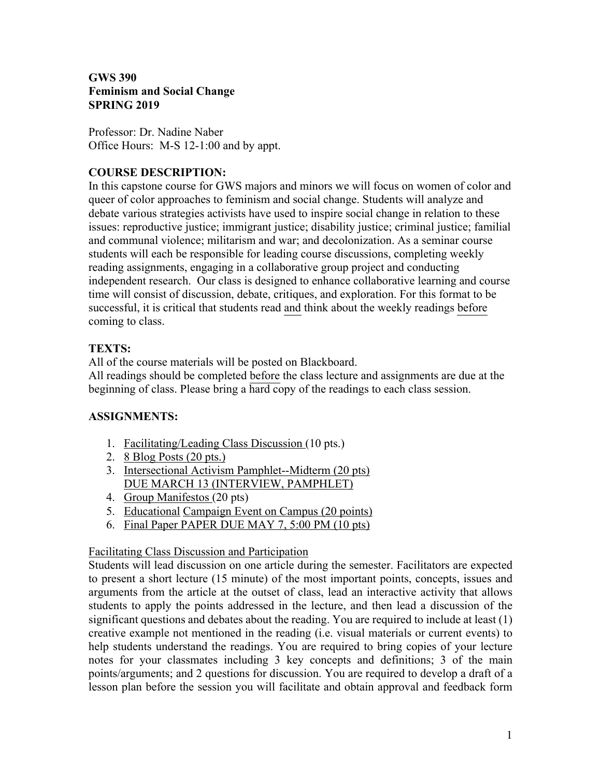### **GWS 390 Feminism and Social Change SPRING 2019**

Professor: Dr. Nadine Naber Office Hours: M-S 12-1:00 and by appt.

## **COURSE DESCRIPTION:**

In this capstone course for GWS majors and minors we will focus on women of color and queer of color approaches to feminism and social change. Students will analyze and debate various strategies activists have used to inspire social change in relation to these issues: reproductive justice; immigrant justice; disability justice; criminal justice; familial and communal violence; militarism and war; and decolonization. As a seminar course students will each be responsible for leading course discussions, completing weekly reading assignments, engaging in a collaborative group project and conducting independent research. Our class is designed to enhance collaborative learning and course time will consist of discussion, debate, critiques, and exploration. For this format to be successful, it is critical that students read and think about the weekly readings before coming to class.

### **TEXTS:**

All of the course materials will be posted on Blackboard.

All readings should be completed before the class lecture and assignments are due at the beginning of class. Please bring a hard copy of the readings to each class session.

# **ASSIGNMENTS:**

- 1. Facilitating/Leading Class Discussion (10 pts.)
- 2. 8 Blog Posts (20 pts.)
- 3. Intersectional Activism Pamphlet--Midterm (20 pts) DUE MARCH 13 (INTERVIEW, PAMPHLET)
- 4. Group Manifestos (20 pts)
- 5. Educational Campaign Event on Campus (20 points)
- 6. Final Paper PAPER DUE MAY 7, 5:00 PM (10 pts)

### Facilitating Class Discussion and Participation

Students will lead discussion on one article during the semester. Facilitators are expected to present a short lecture (15 minute) of the most important points, concepts, issues and arguments from the article at the outset of class, lead an interactive activity that allows students to apply the points addressed in the lecture, and then lead a discussion of the significant questions and debates about the reading. You are required to include at least (1) creative example not mentioned in the reading (i.e. visual materials or current events) to help students understand the readings. You are required to bring copies of your lecture notes for your classmates including 3 key concepts and definitions; 3 of the main points/arguments; and 2 questions for discussion. You are required to develop a draft of a lesson plan before the session you will facilitate and obtain approval and feedback form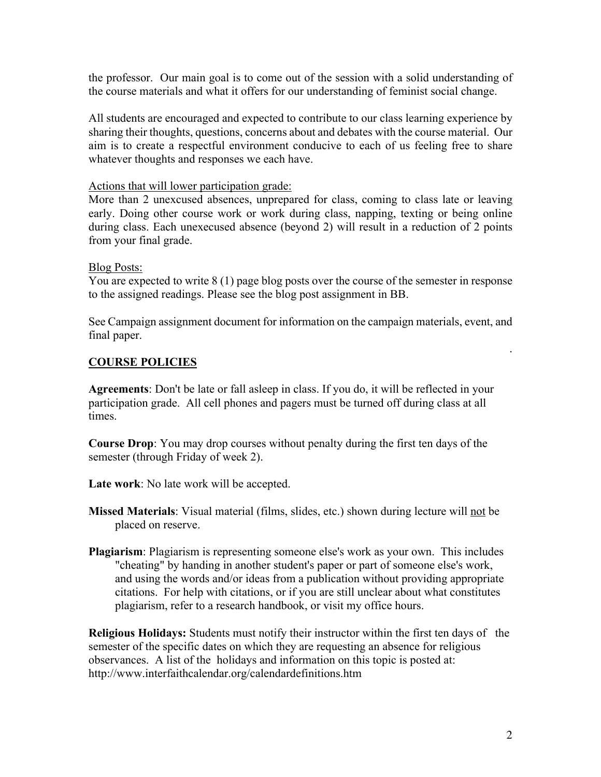the professor. Our main goal is to come out of the session with a solid understanding of the course materials and what it offers for our understanding of feminist social change.

All students are encouraged and expected to contribute to our class learning experience by sharing their thoughts, questions, concerns about and debates with the course material. Our aim is to create a respectful environment conducive to each of us feeling free to share whatever thoughts and responses we each have.

#### Actions that will lower participation grade:

More than 2 unexcused absences, unprepared for class, coming to class late or leaving early. Doing other course work or work during class, napping, texting or being online during class. Each unexecused absence (beyond 2) will result in a reduction of 2 points from your final grade.

#### Blog Posts:

You are expected to write 8 (1) page blog posts over the course of the semester in response to the assigned readings. Please see the blog post assignment in BB.

See Campaign assignment document for information on the campaign materials, event, and final paper.

#### **COURSE POLICIES**

**Agreements**: Don't be late or fall asleep in class. If you do, it will be reflected in your participation grade. All cell phones and pagers must be turned off during class at all times.

**Course Drop**: You may drop courses without penalty during the first ten days of the semester (through Friday of week 2).

**Late work**: No late work will be accepted.

**Missed Materials**: Visual material (films, slides, etc.) shown during lecture will not be placed on reserve.

**Plagiarism**: Plagiarism is representing someone else's work as your own. This includes "cheating" by handing in another student's paper or part of someone else's work, and using the words and/or ideas from a publication without providing appropriate citations. For help with citations, or if you are still unclear about what constitutes plagiarism, refer to a research handbook, or visit my office hours.

**Religious Holidays:** Students must notify their instructor within the first ten days of the semester of the specific dates on which they are requesting an absence for religious observances. A list of the holidays and information on this topic is posted at: http://www.interfaithcalendar.org/calendardefinitions.htm

.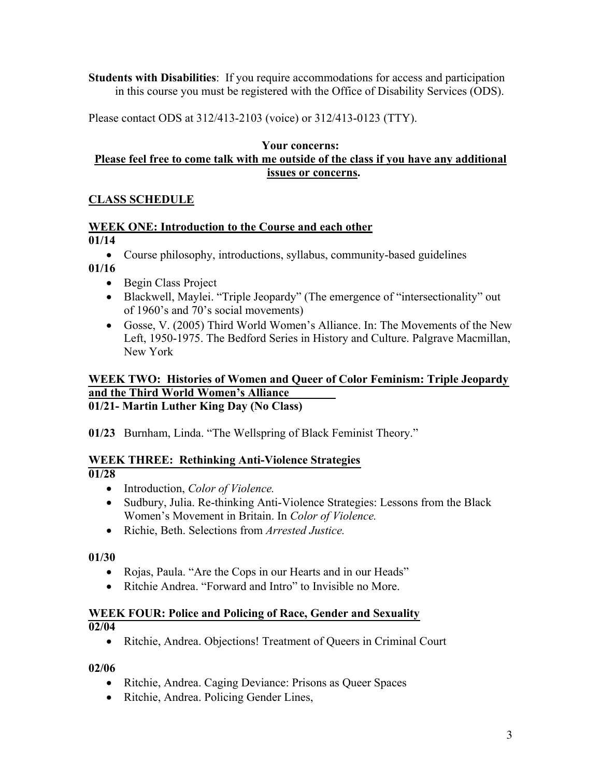**Students with Disabilities**: If you require accommodations for access and participation in this course you must be registered with the Office of Disability Services (ODS).

Please contact ODS at 312/413-2103 (voice) or 312/413-0123 (TTY).

#### **Your concerns: Please feel free to come talk with me outside of the class if you have any additional issues or concerns.**

# **CLASS SCHEDULE**

### **WEEK ONE: Introduction to the Course and each other**

### **01/14**

• Course philosophy, introductions, syllabus, community-based guidelines

**01/16** 

- Begin Class Project
- Blackwell, Maylei. "Triple Jeopardy" (The emergence of "intersectionality" out of 1960's and 70's social movements)
- Gosse, V. (2005) Third World Women's Alliance. In: The Movements of the New Left, 1950-1975. The Bedford Series in History and Culture. Palgrave Macmillan, New York

#### **WEEK TWO: Histories of Women and Queer of Color Feminism: Triple Jeopardy and the Third World Women's Alliance 01/21- Martin Luther King Day (No Class)**

**01/23** Burnham, Linda. "The Wellspring of Black Feminist Theory."

### **WEEK THREE: Rethinking Anti-Violence Strategies**

**01/28** 

- Introduction, *Color of Violence.*
- Sudbury, Julia. Re-thinking Anti-Violence Strategies: Lessons from the Black Women's Movement in Britain. In *Color of Violence.*
- Richie, Beth. Selections from *Arrested Justice.*

**01/30** 

- Rojas, Paula. "Are the Cops in our Hearts and in our Heads"
- Ritchie Andrea. "Forward and Intro" to Invisible no More.

#### **WEEK FOUR: Police and Policing of Race, Gender and Sexuality 02/04**

• Ritchie, Andrea. Objections! Treatment of Queers in Criminal Court

### **02/06**

- Ritchie, Andrea. Caging Deviance: Prisons as Queer Spaces
- Ritchie, Andrea. Policing Gender Lines,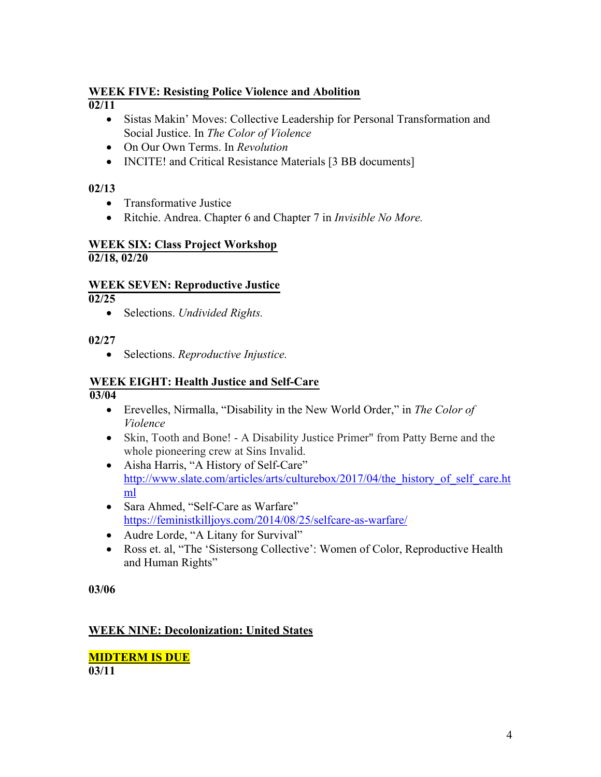# **WEEK FIVE: Resisting Police Violence and Abolition**

 $\sqrt{02/11}$ 

- Sistas Makin' Moves: Collective Leadership for Personal Transformation and Social Justice. In *The Color of Violence*
- On Our Own Terms. In *Revolution*
- INCITE! and Critical Resistance Materials [3 BB documents]

# **02/13**

- Transformative Justice
- Ritchie. Andrea. Chapter 6 and Chapter 7 in *Invisible No More.*

#### **WEEK SIX: Class Project Workshop 02/18, 02/20**

# **WEEK SEVEN: Reproductive Justice**

**02/25** 

• Selections. *Undivided Rights.*

### **02/27**

• Selections. *Reproductive Injustice.*

# **WEEK EIGHT: Health Justice and Self-Care**

**03/04** 

- Erevelles, Nirmalla, "Disability in the New World Order," in *The Color of Violence*
- Skin, Tooth and Bone! A Disability Justice Primer" from Patty Berne and the whole pioneering crew at Sins Invalid.
- Aisha Harris, "A History of Self-Care" http://www.slate.com/articles/arts/culturebox/2017/04/the\_history\_of\_self\_care.ht ml
- Sara Ahmed, "Self-Care as Warfare" https://feministkilljoys.com/2014/08/25/selfcare-as-warfare/
- Audre Lorde, "A Litany for Survival"
- Ross et. al, "The 'Sistersong Collective': Women of Color, Reproductive Health and Human Rights"

**03/06** 

# **WEEK NINE: Decolonization: United States**

**MIDTERM IS DUE 03/11**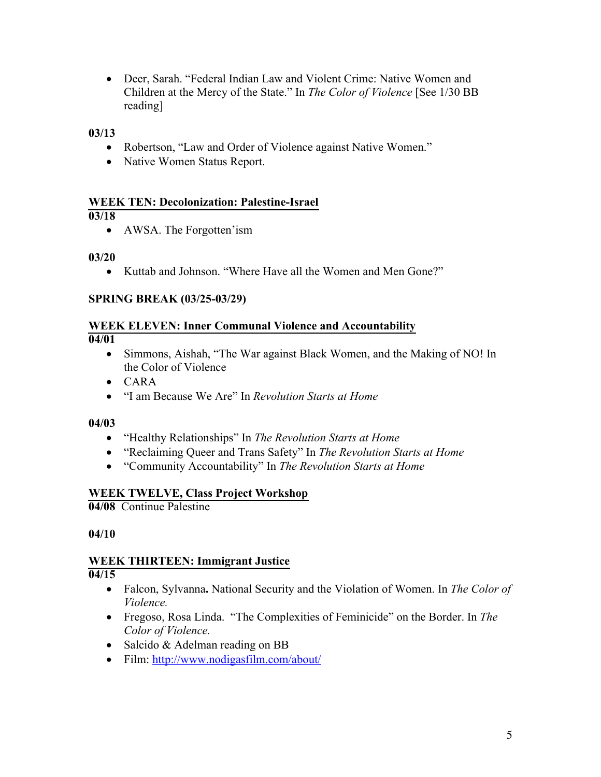• Deer, Sarah. "Federal Indian Law and Violent Crime: Native Women and Children at the Mercy of the State." In *The Color of Violence* [See 1/30 BB reading]

**03/13** 

- Robertson, "Law and Order of Violence against Native Women."
- Native Women Status Report.

#### **WEEK TEN: Decolonization: Palestine-Israel**

#### **03/18**

• AWSA. The Forgotten'ism

#### **03/20**

• Kuttab and Johnson. "Where Have all the Women and Men Gone?"

### **SPRING BREAK (03/25-03/29)**

#### **WEEK ELEVEN: Inner Communal Violence and Accountability 04/01**

- Simmons, Aishah, "The War against Black Women, and the Making of NO! In the Color of Violence
- CARA
- "I am Because We Are" In *Revolution Starts at Home*

#### **04/03**

- "Healthy Relationships" In *The Revolution Starts at Home*
- "Reclaiming Queer and Trans Safety" In *The Revolution Starts at Home*
- "Community Accountability" In *The Revolution Starts at Home*

### **WEEK TWELVE, Class Project Workshop**

**04/08** Continue Palestine

**04/10** 

#### **WEEK THIRTEEN: Immigrant Justice 04/15**

- - Falcon, Sylvanna**.** National Security and the Violation of Women. In *The Color of Violence.*
	- Fregoso, Rosa Linda. "The Complexities of Feminicide" on the Border. In *The Color of Violence.*
	- Salcido & Adelman reading on BB
	- Film: http://www.nodigasfilm.com/about/